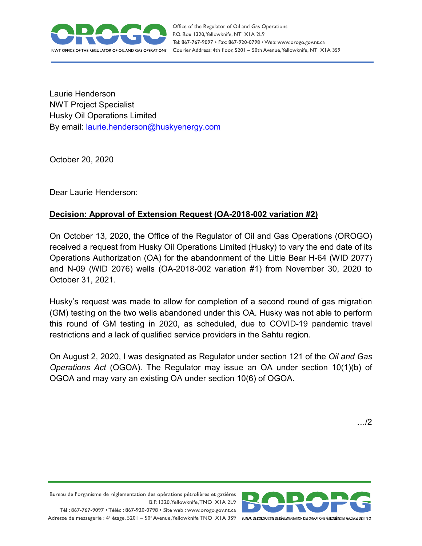

Laurie Henderson NWT Project Specialist Husky Oil Operations Limited By email: [laurie.henderson@huskyenergy.com](mailto:laurie.henderson@huskyenergy.com)

October 20, 2020

Dear Laurie Henderson:

## **Decision: Approval of Extension Request (OA-2018-002 variation #2)**

On October 13, 2020, the Office of the Regulator of Oil and Gas Operations (OROGO) received a request from Husky Oil Operations Limited (Husky) to vary the end date of its Operations Authorization (OA) for the abandonment of the Little Bear H-64 (WID 2077) and N-09 (WID 2076) wells (OA-2018-002 variation #1) from November 30, 2020 to October 31, 2021.

Husky's request was made to allow for completion of a second round of gas migration (GM) testing on the two wells abandoned under this OA. Husky was not able to perform this round of GM testing in 2020, as scheduled, due to COVID-19 pandemic travel restrictions and a lack of qualified service providers in the Sahtu region.

On August 2, 2020, I was designated as Regulator under section 121 of the *Oil and Gas Operations Act* (OGOA). The Regulator may issue an OA under section 10(1)(b) of OGOA and may vary an existing OA under section 10(6) of OGOA.

…/2



Bureau de l'organisme de réglementation des opérations pétrolières et gazières B.P. 1320, Yellowknife, TNO XIA 2L9 Tél: 867-767-9097 • Téléc: 867-920-0798 • Site web: www.orogo.gov.nt.ca

Adresse de messagerie : 4° étage, 5201 - 50° Avenue, Yellowknife TNO XIA 3S9 BUREAU DE LORGANISME DE RÉGLEMENTATION DES OPERATIONS PÉTROLIÈRES ET GAZIÈRES DESTNO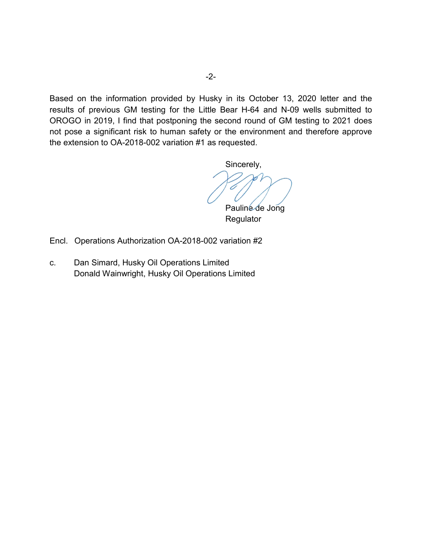Based on the information provided by Husky in its October 13, 2020 letter and the results of previous GM testing for the Little Bear H-64 and N-09 wells submitted to OROGO in 2019, I find that postponing the second round of GM testing to 2021 does not pose a significant risk to human safety or the environment and therefore approve the extension to OA-2018-002 variation #1 as requested.

Sincerely,

Pauline de Jong **Regulator** 

Encl. Operations Authorization OA-2018-002 variation #2

c. Dan Simard, Husky Oil Operations Limited Donald Wainwright, Husky Oil Operations Limited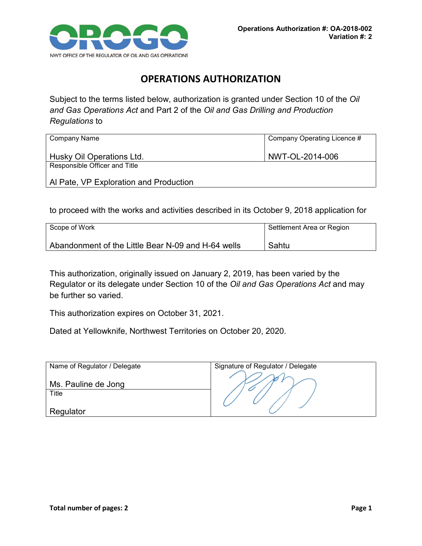

## **OPERATIONS AUTHORIZATION**

Subject to the terms listed below, authorization is granted under Section 10 of the *Oil and Gas Operations Act* and Part 2 of the *Oil and Gas Drilling and Production Regulations* to

| Company Name                           | Company Operating Licence # |
|----------------------------------------|-----------------------------|
| Husky Oil Operations Ltd.              | NWT-OL-2014-006             |
| Responsible Officer and Title          |                             |
| Al Pate, VP Exploration and Production |                             |

to proceed with the works and activities described in its October 9, 2018 application for

| Scope of Work                                      | Settlement Area or Region |
|----------------------------------------------------|---------------------------|
| Abandonment of the Little Bear N-09 and H-64 wells | Sahtu                     |

This authorization, originally issued on January 2, 2019, has been varied by the Regulator or its delegate under Section 10 of the *Oil and Gas Operations Act* and may be further so varied.

This authorization expires on October 31, 2021.

Dated at Yellowknife, Northwest Territories on October 20, 2020.

| Name of Regulator / Delegate | Signature of Regulator / Delegate |
|------------------------------|-----------------------------------|
|                              |                                   |
| Ms. Pauline de Jong          |                                   |
| Title                        |                                   |
|                              |                                   |
| Regulator                    |                                   |